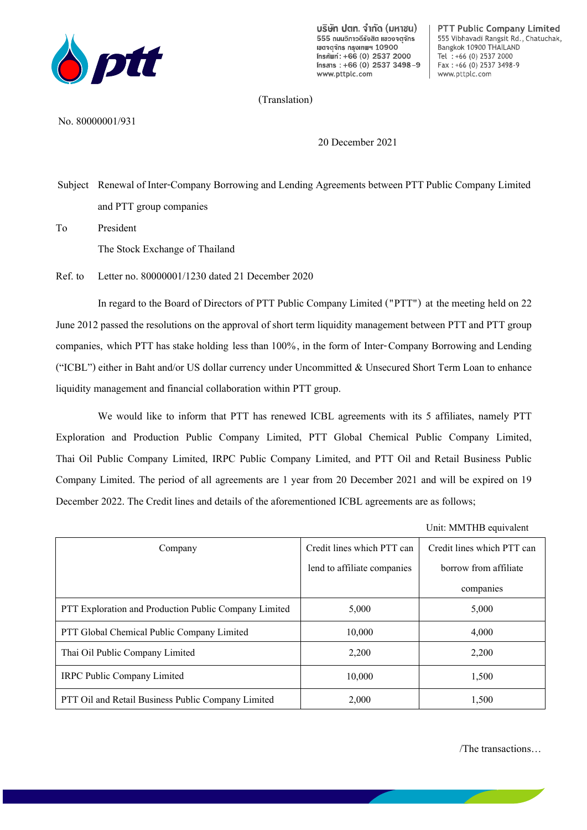

บริษัท ปตท. จำกัด (มหาชน) 555 ถนนอิกาอดีรังสิต แของจตุจักร เขตจตจักร กรงเทพฯ 10900 Insศัพท์: +66 (0) 2537 2000  $Insans : +66 (0) 2537 3498 - 9$ www.pttplc.com

PTT Public Company Limited 555 Vibhavadi Rangsit Rd., Chatuchak, Bangkok 10900 THAILAND Tel : +66 (0) 2537 2000  $Fax : +66 (0) 2537 3498-9$ www.pttplc.com

(Translation)

No. 80000001/931

20 December 2021

Subject Renewal of Inter-Company Borrowing and Lending Agreements between PTT Public Company Limited and PTT group companies

To President

The Stock Exchange of Thailand

Ref. to Letter no. 80000001/1230 dated 21 December 2020

In regard to the Board of Directors of PTT Public Company Limited ("PTT") at the meeting held on 22 June 2012 passed the resolutions on the approval of short term liquidity management between PTT and PTT group companies, which PTT has stake holding less than 100%, in the form of Inter-Company Borrowing and Lending ("ICBL") either in Baht and/or US dollar currency under Uncommitted & Unsecured Short Term Loan to enhance liquidity management and financial collaboration within PTT group.

We would like to inform that PTT has renewed ICBL agreements with its 5 affiliates, namely PTT Exploration and Production Public Company Limited, PTT Global Chemical Public Company Limited, Thai Oil Public Company Limited, IRPC Public Company Limited, and PTT Oil and Retail Business Public Company Limited. The period of all agreements are 1 year from 20 December 2021 and will be expired on 19 December 2022. The Credit lines and details of the aforementioned ICBL agreements are as follows;

Unit: MMTHB equivalent

| Company                                                      | Credit lines which PTT can  | Credit lines which PTT can |
|--------------------------------------------------------------|-----------------------------|----------------------------|
|                                                              | lend to affiliate companies | borrow from affiliate      |
|                                                              |                             | companies                  |
| <b>PTT Exploration and Production Public Company Limited</b> | 5,000                       | 5,000                      |
| PTT Global Chemical Public Company Limited                   | 10,000                      | 4,000                      |
| Thai Oil Public Company Limited                              | 2,200                       | 2,200                      |
| <b>IRPC Public Company Limited</b>                           | 10,000                      | 1,500                      |
| <b>PTT Oil and Retail Business Public Company Limited</b>    | 2,000                       | 1,500                      |

/The transactions…